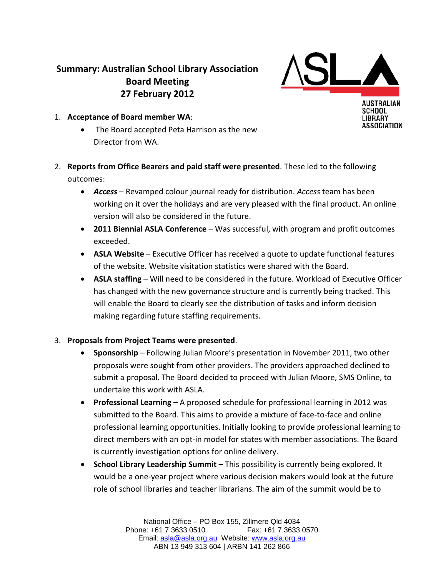## **Summary: Australian School Library Association Board Meeting 27 February 2012**



SCHOOL **LIBRARY** ASSOCIATION

- 1. **Acceptance of Board member WA**:
	- The Board accepted Peta Harrison as the new Director from WA.
- 2. **Reports from Office Bearers and paid staff were presented**. These led to the following outcomes:
	- *Access* Revamped colour journal ready for distribution. *Access* team has been working on it over the holidays and are very pleased with the final product. An online version will also be considered in the future.
	- **2011 Biennial ASLA Conference** Was successful, with program and profit outcomes exceeded.
	- **ASLA Website** Executive Officer has received a quote to update functional features of the website. Website visitation statistics were shared with the Board.
	- **ASLA staffing** Will need to be considered in the future. Workload of Executive Officer has changed with the new governance structure and is currently being tracked. This will enable the Board to clearly see the distribution of tasks and inform decision making regarding future staffing requirements.

## 3. **Proposals from Project Teams were presented**.

- **Sponsorship** Following Julian Moore's presentation in November 2011, two other proposals were sought from other providers. The providers approached declined to submit a proposal. The Board decided to proceed with Julian Moore, SMS Online, to undertake this work with ASLA.
- **Professional Learning** A proposed schedule for professional learning in 2012 was submitted to the Board. This aims to provide a mixture of face-to-face and online professional learning opportunities. Initially looking to provide professional learning to direct members with an opt-in model for states with member associations. The Board is currently investigation options for online delivery.
- **School Library Leadership Summit** This possibility is currently being explored. It would be a one-year project where various decision makers would look at the future role of school libraries and teacher librarians. The aim of the summit would be to